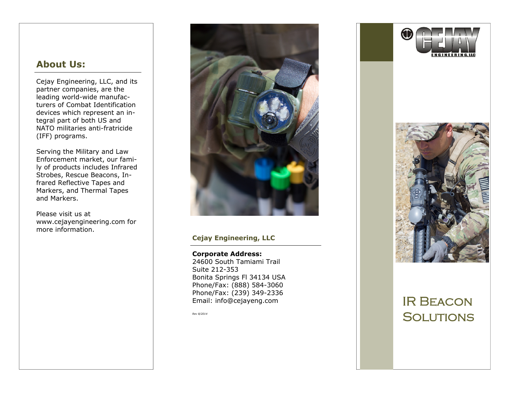### **About Us:**

Cejay Engineering, LLC, and its partner companies, are the leading world-wide manufacturers of Combat Identification devices which represent an integral part of both US and NATO militaries anti-fratricide (IFF) programs.

Serving the Military and Law Enforcement market, our family of products includes Infrared Strobes, Rescue Beacons, Infrared Reflective Tapes and Markers, and Thermal Tapes and Markers.

Please visit us at www[.cejayengineering.com](http://CombatID.cejayengineering.com) for more information.



### **Cejay Engineering, LLC**

**Corporate Address:** 24600 South Tamiami Trail Suite 212-353 Bonita Springs Fl 34134 USA Phone/Fax: (888) 584-3060 Phone/Fax: (239) 349-2336 Email: info@cejayeng.com

*Rev 8/2014* 





## IR Beacon **SOLUTIONS**